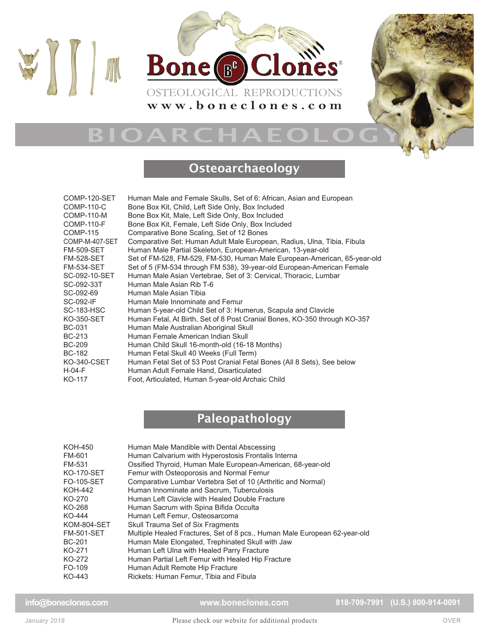



#### **Osteoarchaeology**

| COMP-120-SET<br>COMP-110-C | Human Male and Female Skulls, Set of 6: African, Asian and European<br>Bone Box Kit, Child, Left Side Only, Box Included |
|----------------------------|--------------------------------------------------------------------------------------------------------------------------|
| <b>COMP-110-M</b>          | Bone Box Kit, Male, Left Side Only, Box Included                                                                         |
| <b>COMP-110-F</b>          | Bone Box Kit, Female, Left Side Only, Box Included                                                                       |
| <b>COMP-115</b>            | Comparative Bone Scaling, Set of 12 Bones                                                                                |
| COMP-M-407-SET             |                                                                                                                          |
| <b>FM-509-SET</b>          | Comparative Set: Human Adult Male European, Radius, Ulna, Tibia, Fibula                                                  |
|                            | Human Male Partial Skeleton, European-American, 13-year-old                                                              |
| <b>FM-528-SET</b>          | Set of FM-528, FM-529, FM-530, Human Male European-American, 65-year-old                                                 |
| <b>FM-534-SET</b>          | Set of 5 (FM-534 through FM 538), 39-year-old European-American Female                                                   |
| SC-092-10-SET              | Human Male Asian Vertebrae, Set of 3: Cervical, Thoracic, Lumbar                                                         |
| SC-092-33T                 | Human Male Asian Rib T-6                                                                                                 |
| SC-092-69                  | Human Male Asian Tibia                                                                                                   |
| <b>SC-092-IF</b>           | Human Male Innominate and Femur                                                                                          |
| <b>SC-183-HSC</b>          | Human 5-year-old Child Set of 3: Humerus, Scapula and Clavicle                                                           |
| KO-350-SET                 | Human Fetal, At Birth, Set of 8 Post Cranial Bones, KO-350 through KO-357                                                |
| <b>BC-031</b>              | Human Male Australian Aboriginal Skull                                                                                   |
| <b>BC-213</b>              | Human Female American Indian Skull                                                                                       |
| <b>BC-209</b>              | Human Child Skull 16-month-old (16-18 Months)                                                                            |
| <b>BC-182</b>              | Human Fetal Skull 40 Weeks (Full Term)                                                                                   |
| <b>KO-340-CSET</b>         | Human Fetal Set of 53 Post Cranial Fetal Bones (All 8 Sets), See below                                                   |
| $H-04-F$                   | Human Adult Female Hand, Disarticulated                                                                                  |
| KO-117                     | Foot, Articulated, Human 5-year-old Archaic Child                                                                        |
|                            |                                                                                                                          |

### Paleopathology

| KOH-450     | Human Male Mandible with Dental Abscessing                                |
|-------------|---------------------------------------------------------------------------|
| FM-601      | Human Calvarium with Hyperostosis Frontalis Interna                       |
| FM-531      | Ossified Thyroid, Human Male European-American, 68-year-old               |
| KO-170-SET  | Femur with Osteoporosis and Normal Femur                                  |
| FO-105-SET  | Comparative Lumbar Vertebra Set of 10 (Arthritic and Normal)              |
| KOH-442     | Human Innominate and Sacrum, Tuberculosis                                 |
| KO-270      | Human Left Clavicle with Healed Double Fracture                           |
| KO-268      | Human Sacrum with Spina Bifida Occulta                                    |
| KO-444      | Human Left Femur, Osteosarcoma                                            |
| KOM-804-SET | Skull Trauma Set of Six Fragments                                         |
| FM-501-SET  | Multiple Healed Fractures, Set of 8 pcs., Human Male European 62-year-old |
| BC-201      | Human Male Elongated, Trephinated Skull with Jaw                          |
| KO-271      | Human Left Ulna with Healed Parry Fracture                                |
| KO-272      | Human Partial Left Femur with Healed Hip Fracture                         |
| FO-109      | Human Adult Remote Hip Fracture                                           |
| KO-443      | Rickets: Human Femur, Tibia and Fibula                                    |

**[www.boneclones.com](http://www.boneclones.com)**